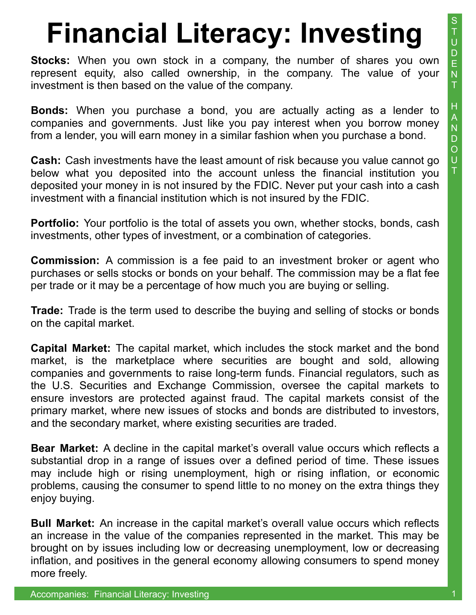**Stocks:** When you own stock in a company, the number of shares you own represent equity, also called ownership, in the company. The value of your investment is then based on the value of the company.

**Bonds:** When you purchase a bond, you are actually acting as a lender to companies and governments. Just like you pay interest when you borrow money from a lender, you will earn money in a similar fashion when you purchase a bond.

**Cash:** Cash investments have the least amount of risk because you value cannot go below what you deposited into the account unless the financial institution you deposited your money in is not insured by the FDIC. Never put your cash into a cash investment with a financial institution which is not insured by the FDIC.

**Portfolio:** Your portfolio is the total of assets you own, whether stocks, bonds, cash investments, other types of investment, or a combination of categories.

**Commission:** A commission is a fee paid to an investment broker or agent who purchases or sells stocks or bonds on your behalf. The commission may be a flat fee per trade or it may be a percentage of how much you are buying or selling.

**Trade:** Trade is the term used to describe the buying and selling of stocks or bonds on the capital market.

**Capital Market:** The capital market, which includes the stock market and the bond market, is the marketplace where securities are bought and sold, allowing companies and governments to raise long-term funds. Financial regulators, such as the U.S. Securities and Exchange Commission, oversee the capital markets to ensure investors are protected against fraud. The capital markets consist of the primary market, where new issues of stocks and bonds are distributed to investors, and the secondary market, where existing securities are traded.

**Bear Market:** A decline in the capital market's overall value occurs which reflects a substantial drop in a range of issues over a defined period of time. These issues may include high or rising unemployment, high or rising inflation, or economic problems, causing the consumer to spend little to no money on the extra things they enjoy buying.

**Bull Market:** An increase in the capital market's overall value occurs which reflects an increase in the value of the companies represented in the market. This may be brought on by issues including low or decreasing unemployment, low or decreasing inflation, and positives in the general economy allowing consumers to spend money more freely.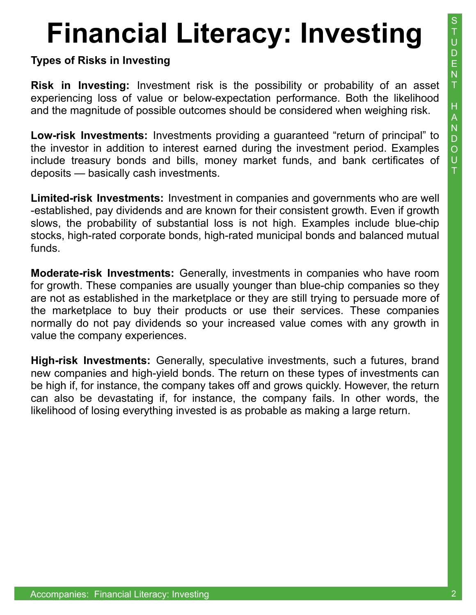### **Types of Risks in Investing**

**Risk in Investing:** Investment risk is the possibility or probability of an asset experiencing loss of value or below-expectation performance. Both the likelihood and the magnitude of possible outcomes should be considered when weighing risk.

**Low-risk Investments:** Investments providing a guaranteed "return of principal" to the investor in addition to interest earned during the investment period. Examples include treasury bonds and bills, money market funds, and bank certificates of deposits — basically cash investments.

**Limited-risk Investments:** Investment in companies and governments who are well -established, pay dividends and are known for their consistent growth. Even if growth slows, the probability of substantial loss is not high. Examples include blue-chip stocks, high-rated corporate bonds, high-rated municipal bonds and balanced mutual funds.

**Moderate-risk Investments:** Generally, investments in companies who have room for growth. These companies are usually younger than blue-chip companies so they are not as established in the marketplace or they are still trying to persuade more of the marketplace to buy their products or use their services. These companies normally do not pay dividends so your increased value comes with any growth in value the company experiences.

**High-risk Investments:** Generally, speculative investments, such a futures, brand new companies and high-yield bonds. The return on these types of investments can be high if, for instance, the company takes off and grows quickly. However, the return can also be devastating if, for instance, the company fails. In other words, the likelihood of losing everything invested is as probable as making a large return.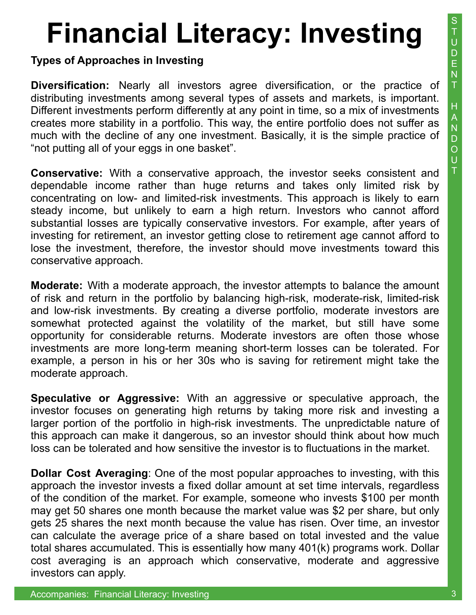**Types of Approaches in Investing** 

**Diversification:** Nearly all investors agree diversification, or the practice of distributing investments among several types of assets and markets, is important. Different investments perform differently at any point in time, so a mix of investments creates more stability in a portfolio. This way, the entire portfolio does not suffer as much with the decline of any one investment. Basically, it is the simple practice of "not putting all of your eggs in one basket".

**Conservative:** With a conservative approach, the investor seeks consistent and dependable income rather than huge returns and takes only limited risk by concentrating on low- and limited-risk investments. This approach is likely to earn steady income, but unlikely to earn a high return. Investors who cannot afford substantial losses are typically conservative investors. For example, after years of investing for retirement, an investor getting close to retirement age cannot afford to lose the investment, therefore, the investor should move investments toward this conservative approach.

**Moderate:** With a moderate approach, the investor attempts to balance the amount of risk and return in the portfolio by balancing high-risk, moderate-risk, limited-risk and low-risk investments. By creating a diverse portfolio, moderate investors are somewhat protected against the volatility of the market, but still have some opportunity for considerable returns. Moderate investors are often those whose investments are more long-term meaning short-term losses can be tolerated. For example, a person in his or her 30s who is saving for retirement might take the moderate approach.

**Speculative or Aggressive:** With an aggressive or speculative approach, the investor focuses on generating high returns by taking more risk and investing a larger portion of the portfolio in high-risk investments. The unpredictable nature of this approach can make it dangerous, so an investor should think about how much loss can be tolerated and how sensitive the investor is to fluctuations in the market.

**Dollar Cost Averaging**: One of the most popular approaches to investing, with this approach the investor invests a fixed dollar amount at set time intervals, regardless of the condition of the market. For example, someone who invests \$100 per month may get 50 shares one month because the market value was \$2 per share, but only gets 25 shares the next month because the value has risen. Over time, an investor can calculate the average price of a share based on total invested and the value total shares accumulated. This is essentially how many 401(k) programs work. Dollar cost averaging is an approach which conservative, moderate and aggressive investors can apply.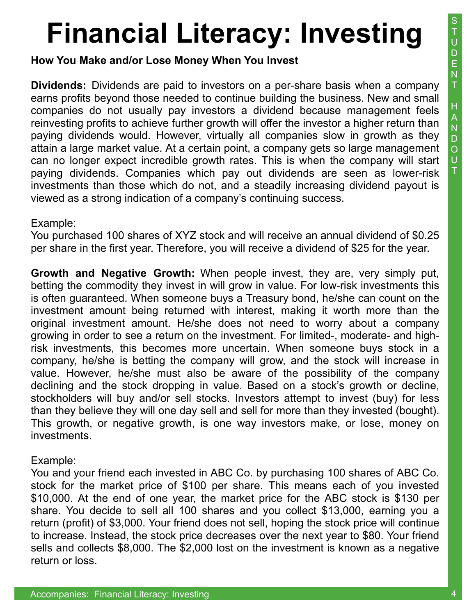**How You Make and/or Lose Money When You Invest** 

**Dividends:** Dividends are paid to investors on a per-share basis when a company earns profits beyond those needed to continue building the business. New and small companies do not usually pay investors a dividend because management feels reinvesting profits to achieve further growth will offer the investor a higher return than paying dividends would. However, virtually all companies slow in growth as they attain a large market value. At a certain point, a company gets so large management can no longer expect incredible growth rates. This is when the company will start paying dividends. Companies which pay out dividends are seen as lower-risk investments than those which do not, and a steadily increasing dividend payout is viewed as a strong indication of a company's continuing success.

#### Example:

You purchased 100 shares of XYZ stock and will receive an annual dividend of \$0.25 per share in the first year. Therefore, you will receive a dividend of \$25 for the year.

**Growth and Negative Growth:** When people invest, they are, very simply put, betting the commodity they invest in will grow in value. For low-risk investments this is often guaranteed. When someone buys a Treasury bond, he/she can count on the investment amount being returned with interest, making it worth more than the original investment amount. He/she does not need to worry about a company growing in order to see a return on the investment. For limited-, moderate- and highrisk investments, this becomes more uncertain. When someone buys stock in a company, he/she is betting the company will grow, and the stock will increase in value. However, he/she must also be aware of the possibility of the company declining and the stock dropping in value. Based on a stock's growth or decline, stockholders will buy and/or sell stocks. Investors attempt to invest (buy) for less than they believe they will one day sell and sell for more than they invested (bought). This growth, or negative growth, is one way investors make, or lose, money on investments.

### Example:

You and your friend each invested in ABC Co. by purchasing 100 shares of ABC Co. stock for the market price of \$100 per share. This means each of you invested \$10,000. At the end of one year, the market price for the ABC stock is \$130 per share. You decide to sell all 100 shares and you collect \$13,000, earning you a return (profit) of \$3,000. Your friend does not sell, hoping the stock price will continue to increase. Instead, the stock price decreases over the next year to \$80. Your friend sells and collects \$8,000. The \$2,000 lost on the investment is known as a negative return or loss.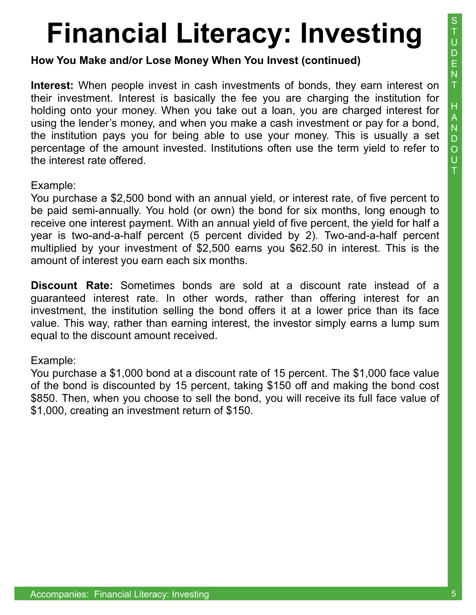**How You Make and/or Lose Money When You Invest (continued)** 

**Interest:** When people invest in cash investments of bonds, they earn interest on their investment. Interest is basically the fee you are charging the institution for holding onto your money. When you take out a loan, you are charged interest for using the lender's money, and when you make a cash investment or pay for a bond, the institution pays you for being able to use your money. This is usually a set percentage of the amount invested. Institutions often use the term yield to refer to the interest rate offered.

Example:

You purchase a \$2,500 bond with an annual yield, or interest rate, of five percent to be paid semi-annually. You hold (or own) the bond for six months, long enough to receive one interest payment. With an annual yield of five percent, the yield for half a year is two-and-a-half percent (5 percent divided by 2). Two-and-a-half percent multiplied by your investment of \$2,500 earns you \$62.50 in interest. This is the amount of interest you earn each six months.

**Discount Rate:** Sometimes bonds are sold at a discount rate instead of a guaranteed interest rate. In other words, rather than offering interest for an investment, the institution selling the bond offers it at a lower price than its face value. This way, rather than earning interest, the investor simply earns a lump sum equal to the discount amount received.

### Example:

You purchase a \$1,000 bond at a discount rate of 15 percent. The \$1,000 face value of the bond is discounted by 15 percent, taking \$150 off and making the bond cost \$850. Then, when you choose to sell the bond, you will receive its full face value of \$1,000, creating an investment return of \$150.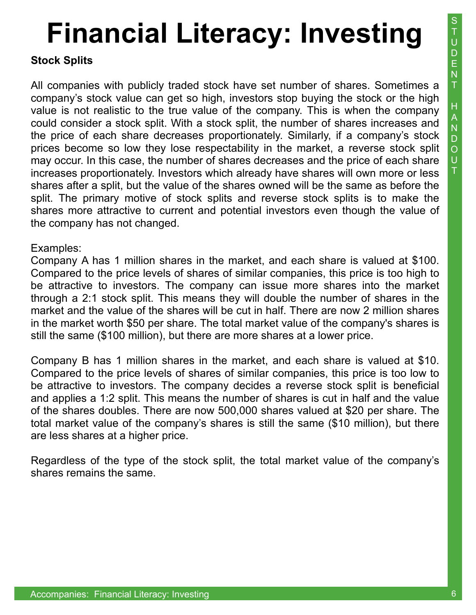#### **Stock Splits**

All companies with publicly traded stock have set number of shares. Sometimes a company's stock value can get so high, investors stop buying the stock or the high value is not realistic to the true value of the company. This is when the company could consider a stock split. With a stock split, the number of shares increases and the price of each share decreases proportionately. Similarly, if a company's stock prices become so low they lose respectability in the market, a reverse stock split may occur. In this case, the number of shares decreases and the price of each share increases proportionately. Investors which already have shares will own more or less shares after a split, but the value of the shares owned will be the same as before the split. The primary motive of stock splits and reverse stock splits is to make the shares more attractive to current and potential investors even though the value of the company has not changed.

#### Examples:

Company A has 1 million shares in the market, and each share is valued at \$100. Compared to the price levels of shares of similar companies, this price is too high to be attractive to investors. The company can issue more shares into the market through a 2:1 stock split. This means they will double the number of shares in the market and the value of the shares will be cut in half. There are now 2 million shares in the market worth \$50 per share. The total market value of the company's shares is still the same (\$100 million), but there are more shares at a lower price.

Company B has 1 million shares in the market, and each share is valued at \$10. Compared to the price levels of shares of similar companies, this price is too low to be attractive to investors. The company decides a reverse stock split is beneficial and applies a 1:2 split. This means the number of shares is cut in half and the value of the shares doubles. There are now 500,000 shares valued at \$20 per share. The total market value of the company's shares is still the same (\$10 million), but there are less shares at a higher price.

Regardless of the type of the stock split, the total market value of the company's shares remains the same.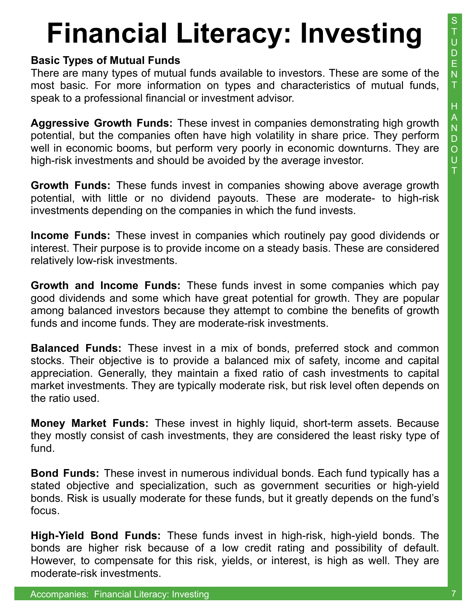### **Basic Types of Mutual Funds**

There are many types of mutual funds available to investors. These are some of the most basic. For more information on types and characteristics of mutual funds, speak to a professional financial or investment advisor.

**Aggressive Growth Funds:** These invest in companies demonstrating high growth potential, but the companies often have high volatility in share price. They perform well in economic booms, but perform very poorly in economic downturns. They are high-risk investments and should be avoided by the average investor.

**Growth Funds:** These funds invest in companies showing above average growth potential, with little or no dividend payouts. These are moderate- to high-risk investments depending on the companies in which the fund invests.

**Income Funds:** These invest in companies which routinely pay good dividends or interest. Their purpose is to provide income on a steady basis. These are considered relatively low-risk investments.

**Growth and Income Funds:** These funds invest in some companies which pay good dividends and some which have great potential for growth. They are popular among balanced investors because they attempt to combine the benefits of growth funds and income funds. They are moderate-risk investments.

**Balanced Funds:** These invest in a mix of bonds, preferred stock and common stocks. Their objective is to provide a balanced mix of safety, income and capital appreciation. Generally, they maintain a fixed ratio of cash investments to capital market investments. They are typically moderate risk, but risk level often depends on the ratio used.

**Money Market Funds:** These invest in highly liquid, short-term assets. Because they mostly consist of cash investments, they are considered the least risky type of fund.

**Bond Funds:** These invest in numerous individual bonds. Each fund typically has a stated objective and specialization, such as government securities or high-yield bonds. Risk is usually moderate for these funds, but it greatly depends on the fund's focus.

**High-Yield Bond Funds:** These funds invest in high-risk, high-yield bonds. The bonds are higher risk because of a low credit rating and possibility of default. However, to compensate for this risk, yields, or interest, is high as well. They are moderate-risk investments.